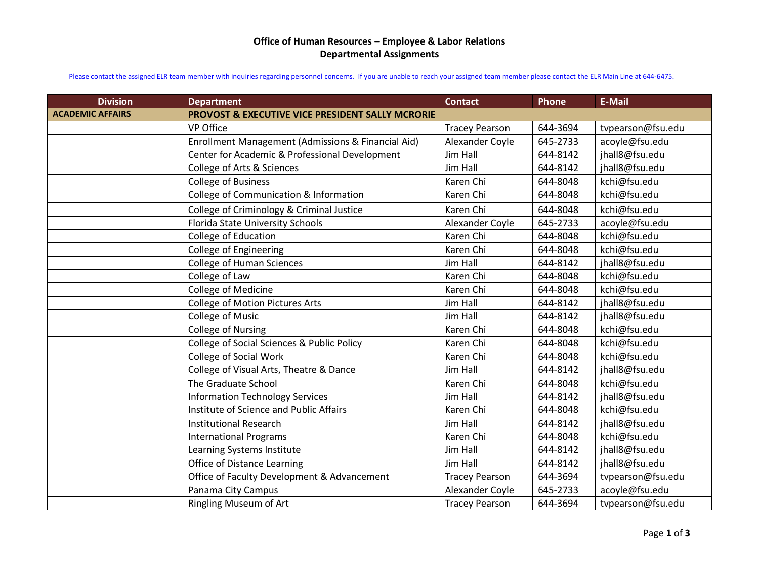## **Office of Human Resources – Employee & Labor Relations Departmental Assignments**

Please contact the assigned ELR team member with inquiries regarding personnel concerns. If you are unable to reach your assigned team member please contact the ELR Main Line at 644-6475.

| <b>Division</b>         | <b>Department</b>                                     | <b>Contact</b>        | Phone    | <b>E-Mail</b>     |
|-------------------------|-------------------------------------------------------|-----------------------|----------|-------------------|
| <b>ACADEMIC AFFAIRS</b> | PROVOST & EXECUTIVE VICE PRESIDENT SALLY MCRORIE      |                       |          |                   |
|                         | VP Office                                             | <b>Tracey Pearson</b> | 644-3694 | tvpearson@fsu.edu |
|                         | Enrollment Management (Admissions & Financial Aid)    | Alexander Coyle       | 645-2733 | acoyle@fsu.edu    |
|                         | Center for Academic & Professional Development        | Jim Hall              | 644-8142 | jhall8@fsu.edu    |
|                         | College of Arts & Sciences                            | Jim Hall              | 644-8142 | jhall8@fsu.edu    |
|                         | <b>College of Business</b>                            | Karen Chi             | 644-8048 | kchi@fsu.edu      |
|                         | College of Communication & Information                | Karen Chi             | 644-8048 | kchi@fsu.edu      |
|                         | College of Criminology & Criminal Justice             | Karen Chi             | 644-8048 | kchi@fsu.edu      |
|                         | Florida State University Schools                      | Alexander Coyle       | 645-2733 | acoyle@fsu.edu    |
|                         | College of Education                                  | Karen Chi             | 644-8048 | kchi@fsu.edu      |
|                         | College of Engineering                                | Karen Chi             | 644-8048 | kchi@fsu.edu      |
|                         | <b>College of Human Sciences</b>                      | Jim Hall              | 644-8142 | jhall8@fsu.edu    |
|                         | College of Law                                        | Karen Chi             | 644-8048 | kchi@fsu.edu      |
|                         | College of Medicine                                   | Karen Chi             | 644-8048 | kchi@fsu.edu      |
|                         | College of Motion Pictures Arts                       | Jim Hall              | 644-8142 | jhall8@fsu.edu    |
|                         | <b>College of Music</b>                               | Jim Hall              | 644-8142 | jhall8@fsu.edu    |
|                         | College of Nursing                                    | Karen Chi             | 644-8048 | kchi@fsu.edu      |
|                         | <b>College of Social Sciences &amp; Public Policy</b> | Karen Chi             | 644-8048 | kchi@fsu.edu      |
|                         | <b>College of Social Work</b>                         | Karen Chi             | 644-8048 | kchi@fsu.edu      |
|                         | College of Visual Arts, Theatre & Dance               | Jim Hall              | 644-8142 | jhall8@fsu.edu    |
|                         | The Graduate School                                   | Karen Chi             | 644-8048 | kchi@fsu.edu      |
|                         | <b>Information Technology Services</b>                | Jim Hall              | 644-8142 | jhall8@fsu.edu    |
|                         | Institute of Science and Public Affairs               | Karen Chi             | 644-8048 | kchi@fsu.edu      |
|                         | <b>Institutional Research</b>                         | Jim Hall              | 644-8142 | jhall8@fsu.edu    |
|                         | <b>International Programs</b>                         | Karen Chi             | 644-8048 | kchi@fsu.edu      |
|                         | Learning Systems Institute                            | <b>Jim Hall</b>       | 644-8142 | jhall8@fsu.edu    |
|                         | <b>Office of Distance Learning</b>                    | Jim Hall              | 644-8142 | jhall8@fsu.edu    |
|                         | Office of Faculty Development & Advancement           | <b>Tracey Pearson</b> | 644-3694 | tvpearson@fsu.edu |
|                         | Panama City Campus                                    | Alexander Coyle       | 645-2733 | acoyle@fsu.edu    |
|                         | <b>Ringling Museum of Art</b>                         | <b>Tracey Pearson</b> | 644-3694 | tvpearson@fsu.edu |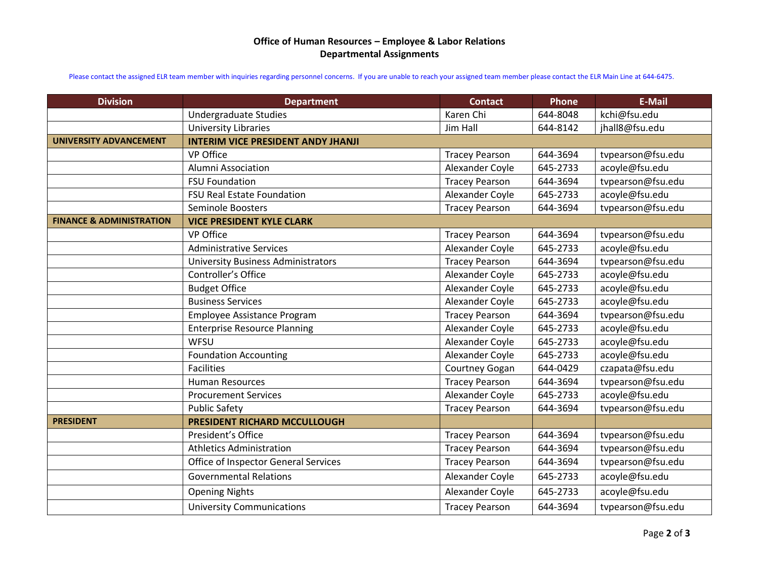## **Office of Human Resources – Employee & Labor Relations Departmental Assignments**

Please contact the assigned ELR team member with inquiries regarding personnel concerns. If you are unable to reach your assigned team member please contact the ELR Main Line at 644-6475.

| <b>Division</b>                     | <b>Department</b>                         | <b>Contact</b>        | Phone    | <b>E-Mail</b>     |
|-------------------------------------|-------------------------------------------|-----------------------|----------|-------------------|
|                                     | Undergraduate Studies                     | Karen Chi             | 644-8048 | kchi@fsu.edu      |
|                                     | <b>University Libraries</b>               | Jim Hall              | 644-8142 | jhall8@fsu.edu    |
| <b>UNIVERSITY ADVANCEMENT</b>       | <b>INTERIM VICE PRESIDENT ANDY JHANJI</b> |                       |          |                   |
|                                     | VP Office                                 | <b>Tracey Pearson</b> | 644-3694 | tvpearson@fsu.edu |
|                                     | <b>Alumni Association</b>                 | Alexander Coyle       | 645-2733 | acoyle@fsu.edu    |
|                                     | <b>FSU Foundation</b>                     | <b>Tracey Pearson</b> | 644-3694 | tvpearson@fsu.edu |
|                                     | FSU Real Estate Foundation                | Alexander Coyle       | 645-2733 | acoyle@fsu.edu    |
|                                     | Seminole Boosters                         | <b>Tracey Pearson</b> | 644-3694 | tvpearson@fsu.edu |
| <b>FINANCE &amp; ADMINISTRATION</b> | <b>VICE PRESIDENT KYLE CLARK</b>          |                       |          |                   |
|                                     | VP Office                                 | <b>Tracey Pearson</b> | 644-3694 | tvpearson@fsu.edu |
|                                     | <b>Administrative Services</b>            | Alexander Coyle       | 645-2733 | acoyle@fsu.edu    |
|                                     | <b>University Business Administrators</b> | <b>Tracey Pearson</b> | 644-3694 | tvpearson@fsu.edu |
|                                     | Controller's Office                       | Alexander Coyle       | 645-2733 | acoyle@fsu.edu    |
|                                     | <b>Budget Office</b>                      | Alexander Coyle       | 645-2733 | acoyle@fsu.edu    |
|                                     | <b>Business Services</b>                  | Alexander Coyle       | 645-2733 | acoyle@fsu.edu    |
|                                     | Employee Assistance Program               | <b>Tracey Pearson</b> | 644-3694 | tvpearson@fsu.edu |
|                                     | <b>Enterprise Resource Planning</b>       | Alexander Coyle       | 645-2733 | acoyle@fsu.edu    |
|                                     | WFSU                                      | Alexander Coyle       | 645-2733 | acoyle@fsu.edu    |
|                                     | <b>Foundation Accounting</b>              | Alexander Coyle       | 645-2733 | acoyle@fsu.edu    |
|                                     | <b>Facilities</b>                         | Courtney Gogan        | 644-0429 | czapata@fsu.edu   |
|                                     | <b>Human Resources</b>                    | <b>Tracey Pearson</b> | 644-3694 | tvpearson@fsu.edu |
|                                     | <b>Procurement Services</b>               | Alexander Coyle       | 645-2733 | acoyle@fsu.edu    |
|                                     | <b>Public Safety</b>                      | <b>Tracey Pearson</b> | 644-3694 | tvpearson@fsu.edu |
| <b>PRESIDENT</b>                    | PRESIDENT RICHARD MCCULLOUGH              |                       |          |                   |
|                                     | President's Office                        | <b>Tracey Pearson</b> | 644-3694 | tvpearson@fsu.edu |
|                                     | <b>Athletics Administration</b>           | <b>Tracey Pearson</b> | 644-3694 | tvpearson@fsu.edu |
|                                     | Office of Inspector General Services      | <b>Tracey Pearson</b> | 644-3694 | tvpearson@fsu.edu |
|                                     | <b>Governmental Relations</b>             | Alexander Coyle       | 645-2733 | acoyle@fsu.edu    |
|                                     | <b>Opening Nights</b>                     | Alexander Coyle       | 645-2733 | acoyle@fsu.edu    |
|                                     | <b>University Communications</b>          | <b>Tracey Pearson</b> | 644-3694 | tvpearson@fsu.edu |